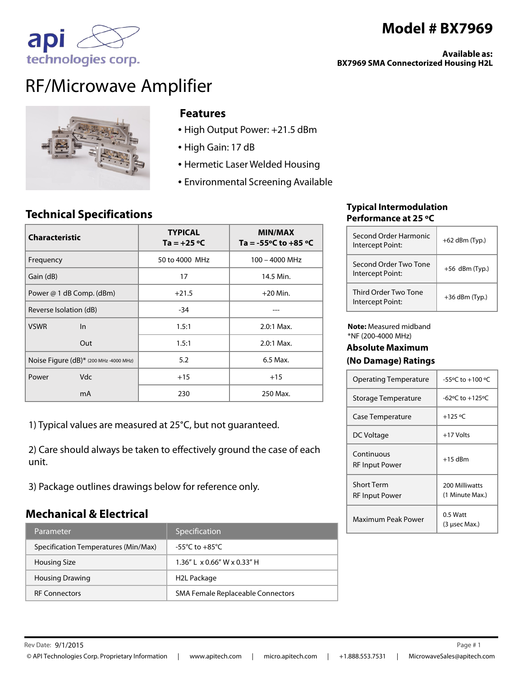# **Model # BX7969**

**Available as: BX7969 SMA Connectorized Housing H2L** 





ap

#### **Features**

- High Output Power: +21.5 dBm
- High Gain: 17 dB
- Hermetic Laser Welded Housing
- Environmental Screening Available

## **Technical Specifications**

| <b>Characteristic</b>                  | <b>TYPICAL</b><br>Ta = $+25$ °C | <b>MIN/MAX</b><br>Ta = -55 $\degree$ C to +85 $\degree$ C |
|----------------------------------------|---------------------------------|-----------------------------------------------------------|
| Frequency                              | 50 to 4000 MHz                  | 100 - 4000 MHz                                            |
| Gain (dB)                              | 17                              | 14.5 Min.                                                 |
| Power @ 1 dB Comp. (dBm)               | $+21.5$                         | $+20$ Min.                                                |
| Reverse Isolation (dB)                 | $-34$                           |                                                           |
| <b>VSWR</b><br>In                      | 1.5:1                           | $2.0:1$ Max.                                              |
| Out                                    | 1.5:1                           | $2.0:1$ Max.                                              |
| Noise Figure (dB)* (200 MHz -4000 MHz) | 5.2                             | 6.5 Max.                                                  |
| <b>Vdc</b><br>Power                    | $+15$                           | $+15$                                                     |
| mA                                     | 230                             | 250 Max.                                                  |

1) Typical values are measured at 25°C, but not guaranteed.

2) Care should always be taken to effectively ground the case of each unit.

3) Package outlines drawings below for reference only.

### **Mechanical & Electrical**

| Parameter                            | Specification                     |
|--------------------------------------|-----------------------------------|
| Specification Temperatures (Min/Max) | -55°C to $+85^{\circ}$ C .        |
| Housing Size                         | $1.36''$   x 0.66" W x 0.33" H    |
| <b>Housing Drawing</b>               | H2L Package                       |
| <b>RF Connectors</b>                 | SMA Female Replaceable Connectors |

#### **Typical Intermodulation Performance at 25 ºC**

| Second Order Harmonic<br>Intercept Point: | $+62$ dBm (Typ.) |
|-------------------------------------------|------------------|
| Second Order Two Tone<br>Intercept Point: | $+56$ dBm (Typ.) |
| Third Order Two Tone<br>Intercept Point:  | $+36$ dBm (Typ.) |

**Note:** Measured midband \*NF (200-4000 MHz)

## **Absolute Maximum**

#### **(No Damage) Ratings**

| <b>Operating Temperature</b>               | $-55^{\circ}$ C to $+100^{\circ}$ C |
|--------------------------------------------|-------------------------------------|
| Storage Temperature                        | $-62$ °C to $+125$ °C               |
| Case Temperature                           | $+125 °C$                           |
| DC Voltage                                 | +17 Volts                           |
| Continuous<br><b>RF</b> Input Power        | $+15$ dBm                           |
| <b>Short Term</b><br><b>RF Input Power</b> | 200 Milliwatts<br>(1 Minute Max.)   |
| Maximum Peak Power                         | 0.5 Watt<br>(3 µsec Max.)           |

Page #1